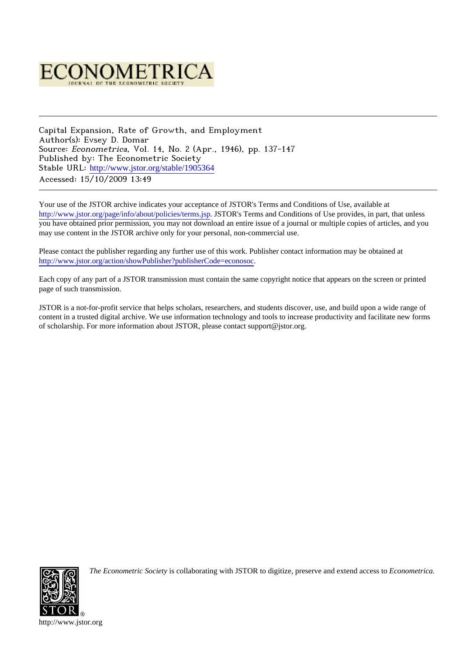

Capital Expansion, Rate of Growth, and Employment Author(s): Evsey D. Domar Source: Econometrica, Vol. 14, No. 2 (Apr., 1946), pp. 137-147 Published by: The Econometric Society Stable URL: [http://www.jstor.org/stable/1905364](http://www.jstor.org/stable/1905364?origin=JSTOR-pdf) Accessed: 15/10/2009 13:49

Your use of the JSTOR archive indicates your acceptance of JSTOR's Terms and Conditions of Use, available at <http://www.jstor.org/page/info/about/policies/terms.jsp>. JSTOR's Terms and Conditions of Use provides, in part, that unless you have obtained prior permission, you may not download an entire issue of a journal or multiple copies of articles, and you may use content in the JSTOR archive only for your personal, non-commercial use.

Please contact the publisher regarding any further use of this work. Publisher contact information may be obtained at <http://www.jstor.org/action/showPublisher?publisherCode=econosoc>.

Each copy of any part of a JSTOR transmission must contain the same copyright notice that appears on the screen or printed page of such transmission.

JSTOR is a not-for-profit service that helps scholars, researchers, and students discover, use, and build upon a wide range of content in a trusted digital archive. We use information technology and tools to increase productivity and facilitate new forms of scholarship. For more information about JSTOR, please contact support@jstor.org.



*The Econometric Society* is collaborating with JSTOR to digitize, preserve and extend access to *Econometrica.*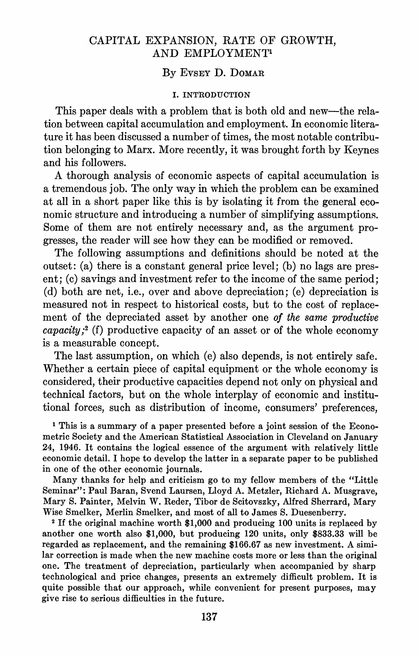# CAPITAL EXPANSION, RATE OF GROWTH. AND EMPLOYMENT

## By EVSEY D. DOMAR

#### I. INTRODUCTION

This paper deals with a problem that is both old and new—the relation between capital accumulation and employment. In economic literature it has been discussed a number of times, the most notable contribution belonging to Marx. More recently, it was brought forth by Keynes and his followers.

A thorough analysis of economic aspects of capital accumulation is a tremendous job. The only way in which the problem can be examined at all in a short paper like this is by isolating it from the general economic structure and introducing a number of simplifying assumptions. Some of them are not entirely necessary and, as the argument progresses, the reader will see how they can be modified or removed.

The following assumptions and definitions should be noted at the outset: (a) there is a constant general price level; (b) no lags are present; (c) savings and investment refer to the income of the same period; (d) both are net, i.e., over and above depreciation; (e) depreciation is measured not in respect to historical costs, but to the cost of replacement of the depreciated asset by another one of the same productive *capacity*;<sup>2</sup> (f) productive capacity of an asset or of the whole economy is a measurable concept.

The last assumption, on which (e) also depends, is not entirely safe. Whether a certain piece of capital equipment or the whole economy is considered, their productive capacities depend not only on physical and technical factors, but on the whole interplay of economic and institutional forces, such as distribution of income, consumers' preferences,

<sup>1</sup> This is a summary of a paper presented before a joint session of the Econometric Society and the American Statistical Association in Cleveland on January 24, 1946. It contains the logical essence of the argument with relatively little economic detail. I hope to develop the latter in a separate paper to be published in one of the other economic journals.

Many thanks for help and criticism go to my fellow members of the "Little Seminar": Paul Baran, Svend Laursen, Lloyd A. Metzler, Richard A. Musgrave, Mary S. Painter, Melvin W. Reder, Tibor de Scitovszky, Alfred Sherrard, Mary Wise Smelker, Merlin Smelker, and most of all to James S. Duesenberry.

<sup>2</sup> If the original machine worth \$1,000 and producing 100 units is replaced by another one worth also \$1,000, but producing 120 units, only \$833.33 will be regarded as replacement, and the remaining \$166.67 as new investment. A similar correction is made when the new machine costs more or less than the original one. The treatment of depreciation, particularly when accompanied by sharp technological and price changes, presents an extremely difficult problem. It is quite possible that our approach, while convenient for present purposes, may give rise to serious difficulties in the future.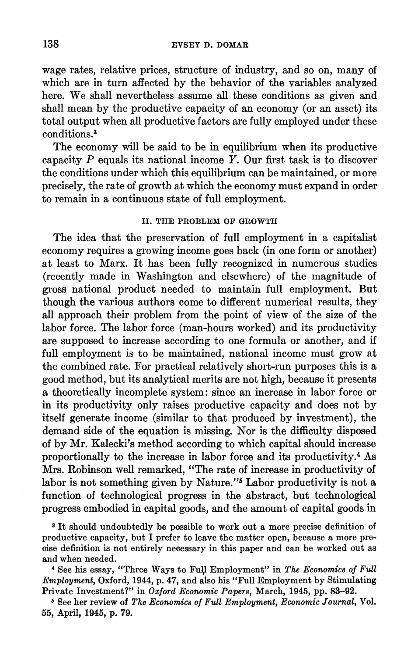wage rates, relative prices, structure of industry, and so on, many of which are in turn affected by the behavior of the variables analyzed here. We shall nevertheless assume all these conditions as given and shall mean by the productive capacity of an economy (or an asset) its total output when all productive factors are fully employed under these conditions.<sup>3</sup>

The economy will be said to be in equilibrium when its productive capacity  $P$  equals its national income  $Y$ . Our first task is to discover the conditions under which this equilibrium can be maintained, or more precisely, the rate of growth at which the economy must expand in order to remain in a continuous state of full employment.

### II. THE PROBLEM OF GROWTH

The idea that the preservation of full employment in a capitalist economy requires a growing income goes back (in one form or another) at least to Marx. It has been fully recognized in numerous studies (recently made in Washington and elsewhere) of the magnitude of gross national product needed to maintain full employment. But though the various authors come to different numerical results, they all approach their problem from the point of view of the size of the labor force. The labor force (man-hours worked) and its productivity are supposed to increase according to one formula or another, and if full employment is to be maintained, national income must grow at the combined rate. For practical relatively short-run purposes this is a good method, but its analytical merits are not high, because it presents a theoretically incomplete system: since an increase in labor force or in its productivity only raises productive capacity and does not by itself generate income (similar to that produced by investment), the demand side of the equation is missing. Nor is the difficulty disposed of by Mr. Kalecki's method according to which capital should increase proportionally to the increase in labor force and its productivity.<sup>4</sup> As Mrs. Robinson well remarked, "The rate of increase in productivity of labor is not something given by Nature."<sup>5</sup> Labor productivity is not a function of technological progress in the abstract, but technological progress embodied in capital goods, and the amount of capital goods in

<sup>3</sup> It should undoubtedly be possible to work out a more precise definition of productive capacity, but I prefer to leave the matter open, because a more precise definition is not entirely necessary in this paper and can be worked out as and when needed.

<sup>4</sup> See his essay, "Three Ways to Full Employment" in The Economics of Full *Employment*, Oxford, 1944, p. 47, and also his "Full Employment by Stimulating Private Investment?" in Oxford Economic Papers, March, 1945, pp. 83-92.

<sup>5</sup> See her review of The Economics of Full Employment, Economic Journal, Vol. 55, April, 1945, p. 79.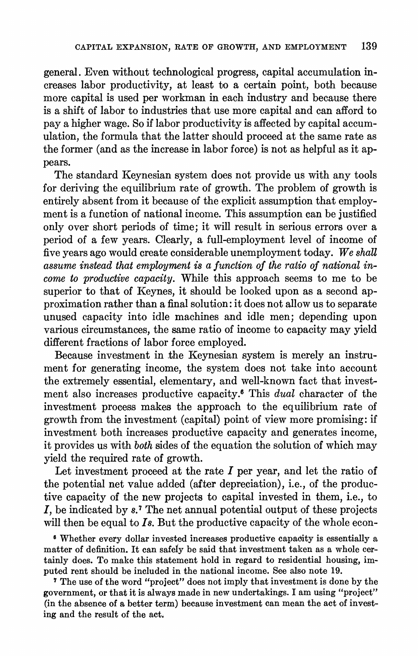general. Even without technological progress, capital accumulation increases labor productivity, at least to a certain point, both because more capital is used per workman in each industry and because there is a shift of labor to industries that use more capital and can afford to pay a higher wage. So if labor productivity is affected by capital accumulation, the formula that the latter should proceed at the same rate as the former (and as the increase in labor force) is not as helpful as it appears.

The standard Keynesian system does not provide us with any tools for deriving the equilibrium rate of growth. The problem of growth is entirely absent from it because of the explicit assumption that employment is a function of national income. This assumption can be justified only over short periods of time; it will result in serious errors over a period of a few years. Clearly, a full-employment level of income of five years ago would create considerable unemployment today. We shall assume instead that employment is a function of the ratio of national income to productive capacity. While this approach seems to me to be superior to that of Keynes, it should be looked upon as a second approximation rather than a final solution: it does not allow us to separate unused capacity into idle machines and idle men; depending upon various circumstances, the same ratio of income to capacity may yield different fractions of labor force employed.

Because investment in the Keynesian system is merely an instrument for generating income, the system does not take into account the extremely essential, elementary, and well-known fact that investment also increases productive capacity.<sup>6</sup> This *dual* character of the investment process makes the approach to the equilibrium rate of growth from the investment (capital) point of view more promising: if investment both increases productive capacity and generates income, it provides us with *both* sides of the equation the solution of which may yield the required rate of growth.

Let investment proceed at the rate  $I$  per year, and let the ratio of the potential net value added (after depreciation), i.e., of the productive capacity of the new projects to capital invested in them, i.e., to I, be indicated by s.' The net annual potential output of these projects will then be equal to  $Is.$  But the productive capacity of the whole econ-

<sup>6</sup> Whether every dollar invested increases productive capacity is essentially a matter of definition. It can safely be said that investment taken as a whole certainly does. To make this statement hold in regard to residential housing, imputed rent should be included in the national income. See also note 19.

<sup>7</sup> The use of the word "project" does not imply that investment is done by the government, or that it is always made in new undertakings. I am using "project" (in the absence of a better term) because investment can mean the act of investing and the result of the act.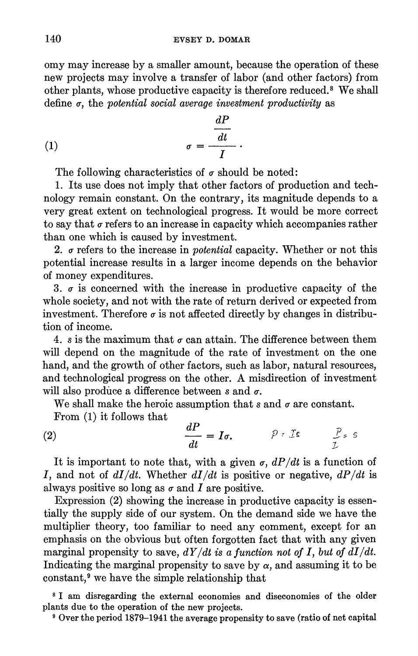omy may increase by a smaller amount, because the operation of these new projects may involve a transfer of labor (and other factors) from other plants, whose productive capacity is therefore reduced.<sup>8</sup> We shall define  $\sigma$ , the potential social average investment productivity as

$$
\sigma = \frac{\frac{dP}{dt}}{I}.
$$

The following characteristics of  $\sigma$  should be noted:

1. Its use does not imply that other factors of production and technology remain constant. On the contrary, its magnitude depends to a very great extent on technological progress. It would be more correct to say that  $\sigma$  refers to an increase in capacity which accompanies rather than one which is caused by investment.

2.  $\sigma$  refers to the increase in *potential* capacity. Whether or not this potential increase results in a larger income depends on the behavior of money expenditures.

3.  $\sigma$  is concerned with the increase in productive capacity of the whole society, and not with the rate of return derived or expected from investment. Therefore  $\sigma$  is not affected directly by changes in distribution of income.

4. s is the maximum that  $\sigma$  can attain. The difference between them will depend on the magnitude of the rate of investment on the one hand, and the growth of other factors, such as labor, natural resources, and technological progress on the other. A misdirection of investment will also produce a difference between s and  $\sigma$ .

We shall make the heroic assumption that s and  $\sigma$  are constant.

From (1) it follows that

(2) 
$$
\frac{dP}{dt} = I\sigma, \qquad \beta : \mathbb{J}\mathsf{s} \qquad \frac{P}{L} \mathsf{s}
$$

It is important to note that, with a given  $\sigma$ ,  $dP/dt$  is a function of I, and not of  $dI/dt$ . Whether  $dI/dt$  is positive or negative,  $dP/dt$  is always positive so long as  $\sigma$  and I are positive.

Expression (2) showing the increase in productive capacity is essentially the supply side of our system. On the demand side we have the multiplier theory, too familiar to need any comment, except for an emphasis on the obvious but often forgotten fact that with any given marginal propensity to save,  $dY/dt$  is a function not of I, but of  $dI/dt$ . Indicating the marginal propensity to save by  $\alpha$ , and assuming it to be constant,<sup>9</sup> we have the simple relationship that

<sup>8</sup> I am disregarding the external economies and diseconomies of the older plants due to the operation of the new projects.

<sup>9</sup> Over the period 1879–1941 the average propensity to save (ratio of net capital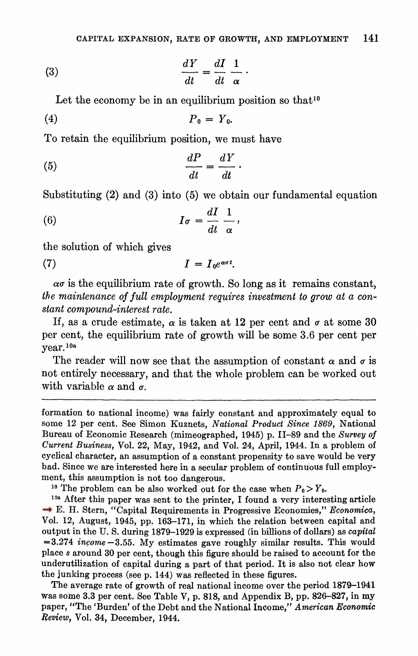(3) 
$$
\frac{dY}{dt} = \frac{dI}{dt} \frac{1}{\alpha}.
$$

Let the economy be in an equilibrium position so that  $10$ 

$$
(4) \hspace{3.1em} P_0 = Y_0
$$

To retain the equilibrium position, we must have

$$
\frac{dP}{dt} = \frac{dY}{dt}
$$

Substituting  $(2)$  and  $(3)$  into  $(5)$  we obtain our fundamental equation

(6) 
$$
I_{\sigma} = \frac{dI}{dt} \frac{1}{\alpha},
$$

the solution of which gives

$$
(7) \t\t I = I_0 e^{\alpha \sigma t}.
$$

 $\alpha\sigma$  is the equilibrium rate of growth. So long as it remains constant, the maintenance of full employment requires investment to grow at a constant compound-interest rate.

If, as a crude estimate,  $\alpha$  is taken at 12 per cent and  $\sigma$  at some 30 per cent, the equilibrium rate of growth will be some 3.6 per cent per vear.<sup>10a</sup>

The reader will now see that the assumption of constant  $\alpha$  and  $\sigma$  is not entirely necessary, and that the whole problem can be worked out with variable  $\alpha$  and  $\sigma$ .

formation to national income) was fairly constant and approximately equal to some 12 per cent. See Simon Kuznets, National Product Since 1869, National Bureau of Economic Research (mimeographed, 1945) p. II-89 and the Survey of Current Business, Vol. 22, May, 1942, and Vol. 24, April, 1944. In a problem of cyclical character, an assumption of a constant propensity to save would be very bad. Since we are interested here in a secular problem of continuous full employment, this assumption is not too dangerous.

<sup>10</sup> The problem can be also worked out for the case when  $P_0 > Y_0$ .

<sup>10a</sup> After this paper was sent to the printer, I found a very interesting article  $\rightarrow$  E. H. Stern, "Capital Requirements in Progressive Economies," Economica, Vol. 12, August, 1945, pp. 163-171, in which the relation between capital and output in the U.S. during 1879-1929 is expressed (in billions of dollars) as capital  $=3.274$  *income*  $-3.55$ . My estimates gave roughly similar results. This would place s around 30 per cent, though this figure should be raised to account for the underutilization of capital during a part of that period. It is also not clear how the junking process (see p. 144) was reflected in these figures.

The average rate of growth of real national income over the period 1879-1941 was some 3.3 per cent. See Table V, p. 818, and Appendix B, pp. 826-827, in my paper, "The 'Burden' of the Debt and the National Income," American Economic Review, Vol. 34, December, 1944.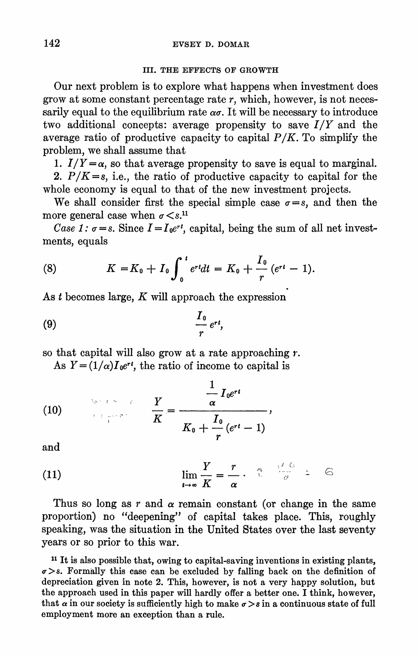#### III. THE EFFECTS OF GROWTH

Our next problem is to explore what happens when investment does grow at some constant percentage rate  $r$ , which, however, is not necessarily equal to the equilibrium rate  $\alpha\sigma$ . It will be necessary to introduce two additional concepts: average propensity to save  $I/Y$  and the average ratio of productive capacity to capital  $P/K$ . To simplify the problem, we shall assume that

1.  $I/Y = \alpha$ , so that average propensity to save is equal to marginal.

2.  $P/K = s$ , i.e., the ratio of productive capacity to capital for the whole economy is equal to that of the new investment projects.

We shall consider first the special simple case  $\sigma = s$ , and then the more general case when  $\sigma < s$ .<sup>11</sup>

Case 1:  $\sigma = s$ . Since  $I = I_0 e^{rt}$ , capital, being the sum of all net investments, equals

(8) 
$$
K = K_0 + I_0 \int_0^t e^{rt} dt = K_0 + \frac{I_0}{r} (e^{rt} - 1).
$$

As  $t$  becomes large,  $K$  will approach the expression

$$
(9) \hspace{3.1em} \frac{I_0}{r} \, e^{rt},
$$

so that capital will also grow at a rate approaching  $r$ .

As  $Y = (1/\alpha)I_0e^{rt}$ , the ratio of income to capital is

(10) 
$$
\frac{Y}{K} = \frac{\frac{1}{\alpha}I_0 e^{rt}}{K_0 + \frac{I_0}{r}(e^{rt}-1)},
$$

and

(11) 
$$
\lim_{t \to \infty} \frac{Y}{K} = \frac{r}{\alpha} \cdot \begin{array}{cc} \frac{\alpha}{\alpha} & \frac{\alpha}{\alpha} & \frac{\alpha}{\alpha} \\ \frac{\alpha}{\alpha} & \frac{\alpha}{\alpha} & \frac{\alpha}{\alpha} \end{array} = \begin{array}{cc} \frac{\alpha}{\alpha} & \frac{\alpha}{\alpha} & \frac{\alpha}{\alpha} \\ \frac{\alpha}{\alpha} & \frac{\alpha}{\alpha} & \frac{\alpha}{\alpha} \end{array}
$$

Thus so long as r and  $\alpha$  remain constant (or change in the same proportion) no "deepening" of capital takes place. This, roughly speaking, was the situation in the United States over the last seventy years or so prior to this war.

<sup>11</sup> It is also possible that, owing to capital-saving inventions in existing plants,  $\sigma$ >s. Formally this case can be excluded by falling back on the definition of depreciation given in note 2. This, however, is not a very happy solution, but the approach used in this paper will hardly offer a better one. I think, however, that  $\alpha$  in our society is sufficiently high to make  $\sigma > s$  in a continuous state of full employment more an exception than a rule.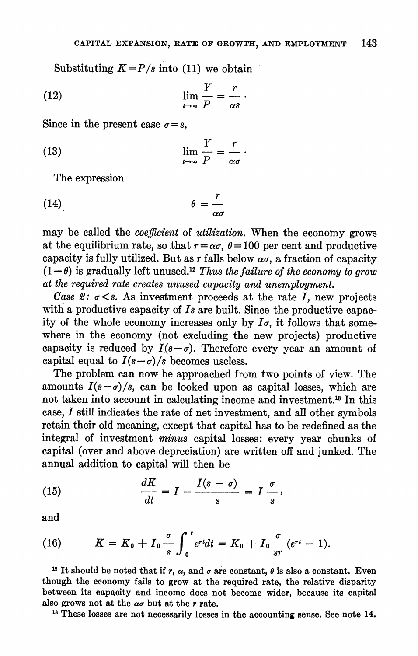Substituting  $K = P/s$  into (11) we obtain

(12) 
$$
\lim_{t \to \infty} \frac{Y}{P} = \frac{r}{\alpha s}.
$$

Since in the present case  $\sigma = s$ .

(13) 
$$
\lim_{t \to \infty} \frac{Y}{P} = \frac{r}{\alpha \sigma}.
$$

The expression

$$
\theta = \frac{r}{\alpha \sigma}
$$

may be called the *coefficient* of *utilization*. When the economy grows at the equilibrium rate, so that  $r = \alpha \sigma$ ,  $\theta = 100$  per cent and productive capacity is fully utilized. But as r falls below  $\alpha\sigma$ , a fraction of capacity  $(1-\theta)$  is gradually left unused.<sup>12</sup> Thus the failure of the economy to grow at the required rate creates unused capacity and unemployment.

Case 2:  $\sigma$ <s. As investment proceeds at the rate I, new projects with a productive capacity of  $Is$  are built. Since the productive capacity of the whole economy increases only by  $I_{\sigma}$ , it follows that somewhere in the economy (not excluding the new projects) productive capacity is reduced by  $I(s-\sigma)$ . Therefore every year an amount of capital equal to  $I(s-\sigma)/s$  becomes useless.

The problem can now be approached from two points of view. The amounts  $I(s-\sigma)/s$ , can be looked upon as capital losses, which are not taken into account in calculating income and investment.<sup>13</sup> In this case, I still indicates the rate of net investment, and all other symbols retain their old meaning, except that capital has to be redefined as the integral of investment minus capital losses: every year chunks of capital (over and above depreciation) are written off and junked. The annual addition to capital will then be

(15) 
$$
\frac{dK}{dt} = I - \frac{I(s-\sigma)}{s} = I - \frac{\sigma}{s},
$$

and

(16) 
$$
K = K_0 + I_0 \frac{\sigma}{s} \int_0^t e^{rt} dt = K_0 + I_0 \frac{\sigma}{sr} (e^{rt} - 1).
$$

<sup>12</sup> It should be noted that if r,  $\alpha$ , and  $\sigma$  are constant,  $\theta$  is also a constant. Even though the economy fails to grow at the required rate, the relative disparity between its capacity and income does not become wider, because its capital also grows not at the  $\alpha\sigma$  but at the r rate.

<sup>13</sup> These losses are not necessarily losses in the accounting sense. See note 14.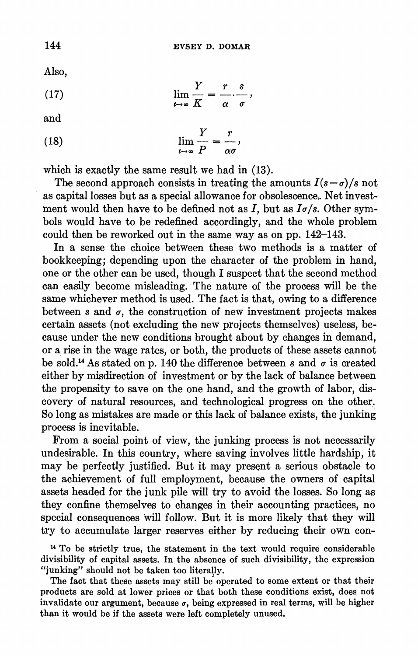Also,

$$
\lim \frac{Y}{K} = \frac{r}{r} \cdot \frac{s}{r},
$$

and

(18) 
$$
\lim_{t \to \infty} \frac{Y}{P} = \frac{r}{\alpha \sigma},
$$

which is exactly the same result we had in (13).

The second approach consists in treating the amounts  $I(s-\sigma)/s$  not as capital losses but as a special allowance for obsolescence. Net investment would then have to be defined not as I, but as  $I\sigma/s$ . Other symbols would have to be redefined accordingly, and the whole problem could then be reworked out in the same way as on pp. 142-143.

In a sense the choice between these two methods is a matter of bookkeeping; depending upon the character of the problem in hand, one or the other can be used, though I suspect that the second method can easily become misleading. The nature of the process will be the same whichever method is used. The fact is that, owing to a difference between  $s$  and  $\sigma$ , the construction of new investment projects makes certain assets (not excluding the new projects themselves) useless, because under the new conditions brought about by changes in demand. or a rise in the wage rates, or both, the products of these assets cannot be sold.<sup>14</sup> As stated on p. 140 the difference between s and  $\sigma$  is created either by misdirection of investment or by the lack of balance between the propensity to save on the one hand, and the growth of labor, discovery of natural resources, and technological progress on the other. So long as mistakes are made or this lack of balance exists, the junking process is inevitable.

From a social point of view, the junking process is not necessarily undesirable. In this country, where saving involves little hardship, it may be perfectly justified. But it may present a serious obstacle to the achievement of full employment, because the owners of capital assets headed for the junk pile will try to avoid the losses. So long as they confine themselves to changes in their accounting practices, no special consequences will follow. But it is more likely that they will try to accumulate larger reserves either by reducing their own con-

<sup>14</sup> To be strictly true, the statement in the text would require considerable divisibility of capital assets. In the absence of such divisibility, the expression "junking" should not be taken too literally.

The fact that these assets may still be operated to some extent or that their products are sold at lower prices or that both these conditions exist, does not invalidate our argument, because  $\sigma$ , being expressed in real terms, will be higher than it would be if the assets were left completely unused.

144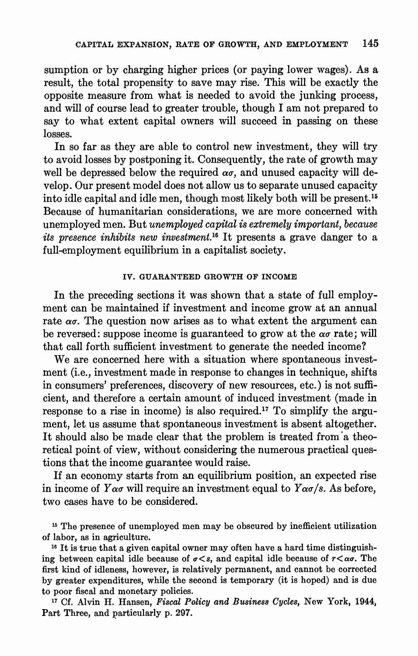sumption or by charging higher prices (or paying lower wages). As a result, the total propensity to save may rise. This will be exactly the opposite measure from what is needed to avoid the junking process. and will of course lead to greater trouble, though I am not prepared to say to what extent capital owners will succeed in passing on these losses.

In so far as they are able to control new investment, they will try to avoid losses by postponing it. Consequently, the rate of growth may well be depressed below the required  $\alpha\sigma$ , and unused capacity will develop. Our present model does not allow us to separate unused capacity into idle capital and idle men, though most likely both will be present.<sup>15</sup> Because of humanitarian considerations, we are more concerned with unemployed men. But unemployed capital is extremely important, because its presence inhibits new investment.<sup>16</sup> It presents a grave danger to a full-employment equilibrium in a capitalist society.

### IV. GUARANTEED GROWTH OF INCOME

In the preceding sections it was shown that a state of full employment can be maintained if investment and income grow at an annual rate  $\alpha\sigma$ . The question now arises as to what extent the argument can be reversed: suppose income is guaranteed to grow at the  $\alpha\sigma$  rate; will that call forth sufficient investment to generate the needed income?

We are concerned here with a situation where spontaneous investment (i.e., investment made in response to changes in technique, shifts in consumers' preferences, discovery of new resources, etc.) is not sufficient, and therefore a certain amount of induced investment (made in response to a rise in income) is also required.<sup>17</sup> To simplify the argument, let us assume that spontaneous investment is absent altogether. It should also be made clear that the problem is treated from a theoretical point of view, without considering the numerous practical questions that the income guarantee would raise.

If an economy starts from an equilibrium position, an expected rise in income of  $Y_{\alpha\sigma}$  will require an investment equal to  $Y_{\alpha\sigma}/s$ . As before, two cases have to be considered.

<sup>16</sup> It is true that a given capital owner may often have a hard time distinguishing between capital idle because of  $\sigma < s$ , and capital idle because of  $r < \alpha \sigma$ . The first kind of idleness, however, is relatively permanent, and cannot be corrected by greater expenditures, while the second is temporary (it is hoped) and is due to poor fiscal and monetary policies.

<sup>17</sup> Cf. Alvin H. Hansen, Fiscal Policy and Business Cycles, New York, 1944, Part Three, and particularly p. 297.

<sup>&</sup>lt;sup>15</sup> The presence of unemployed men may be obscured by inefficient utilization of labor, as in agriculture.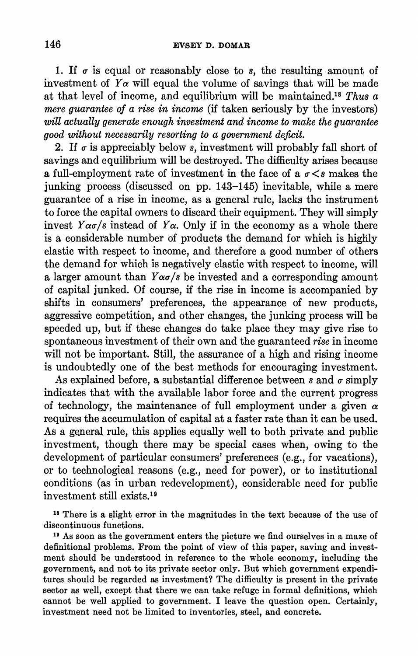1. If  $\sigma$  is equal or reasonably close to s, the resulting amount of investment of  $Ya$  will equal the volume of savings that will be made at that level of income, and equilibrium will be maintained.<sup>18</sup> Thus a mere guarantee of a rise in income (if taken seriously by the investors) will actually generate enough investment and income to make the quarantee good without necessarily resorting to a government deficit.

2. If  $\sigma$  is appreciably below s, investment will probably fall short of savings and equilibrium will be destroyed. The difficulty arises because a full-employment rate of investment in the face of a  $\sigma < s$  makes the junking process (discussed on pp. 143-145) inevitable, while a mere guarantee of a rise in income, as a general rule, lacks the instrument to force the capital owners to discard their equipment. They will simply invest  $Y\alpha\sigma/s$  instead of  $Y\alpha$ . Only if in the economy as a whole there is a considerable number of products the demand for which is highly elastic with respect to income, and therefore a good number of others the demand for which is negatively elastic with respect to income, will a larger amount than  $Y\alpha\sigma/s$  be invested and a corresponding amount of capital junked. Of course, if the rise in income is accompanied by shifts in consumers' preferences, the appearance of new products, aggressive competition, and other changes, the junking process will be speeded up, but if these changes do take place they may give rise to spontaneous investment of their own and the guaranteed rise in income will not be important. Still, the assurance of a high and rising income is undoubtedly one of the best methods for encouraging investment.

As explained before, a substantial difference between s and  $\sigma$  simply indicates that with the available labor force and the current progress of technology, the maintenance of full employment under a given  $\alpha$ requires the accumulation of capital at a faster rate than it can be used. As a general rule, this applies equally well to both private and public investment, though there may be special cases when, owing to the development of particular consumers' preferences (e.g., for vacations), or to technological reasons (e.g., need for power), or to institutional conditions (as in urban redevelopment), considerable need for public investment still exists.<sup>19</sup>

<sup>18</sup> There is a slight error in the magnitudes in the text because of the use of discontinuous functions.

<sup>19</sup> As soon as the government enters the picture we find ourselves in a maze of definitional problems. From the point of view of this paper, saving and investment should be understood in reference to the whole economy, including the government, and not to its private sector only. But which government expenditures should be regarded as investment? The difficulty is present in the private sector as well, except that there we can take refuge in formal definitions, which cannot be well applied to government. I leave the question open. Certainly, investment need not be limited to inventories, steel, and concrete.